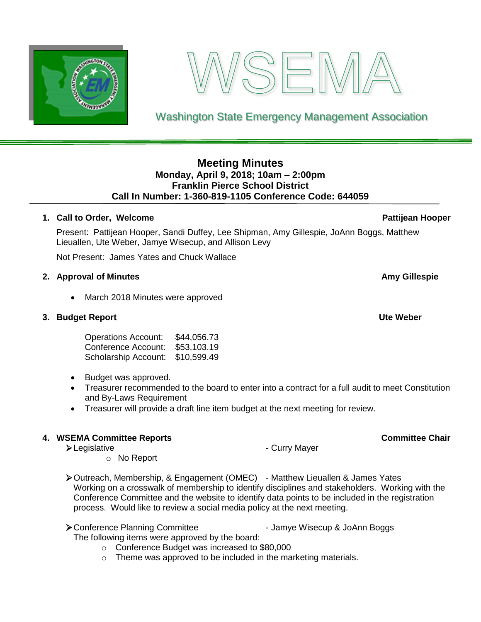# **Meeting Minutes Monday, April 9, 2018; 10am – 2:00pm**

# **Franklin Pierce School District Call In Number: 1-360-819-1105 Conference Code: 644059**

# **1. Call to Order, Welcome Pattijean Hooper**

Present: Pattijean Hooper, Sandi Duffey, Lee Shipman, Amy Gillespie, JoAnn Boggs, Matthew Lieuallen, Ute Weber, Jamye Wisecup, and Allison Levy

Not Present: James Yates and Chuck Wallace

# **2. Approval of Minutes Amy Gillespie**

• March 2018 Minutes were approved

## **3. Budget Report Ute Weber**

Operations Account: \$44,056.73 Conference Account: \$53,103.19 Scholarship Account: \$10,599.49

- Budget was approved.
- Treasurer recommended to the board to enter into a contract for a full audit to meet Constitution and By-Laws Requirement
- Treasurer will provide a draft line item budget at the next meeting for review.

# **4. WSEMA Committee Reports Committee Chair**

➢Legislative - Curry Mayer

- o No Report
- ➢Outreach, Membership, & Engagement (OMEC) Matthew Lieuallen & James Yates Working on a crosswalk of membership to identify disciplines and stakeholders. Working with the Conference Committee and the website to identify data points to be included in the registration process. Would like to review a social media policy at the next meeting.
- ➢Conference Planning Committee Jamye Wisecup & JoAnn Boggs The following items were approved by the board:

- o Conference Budget was increased to \$80,000
- o Theme was approved to be included in the marketing materials.